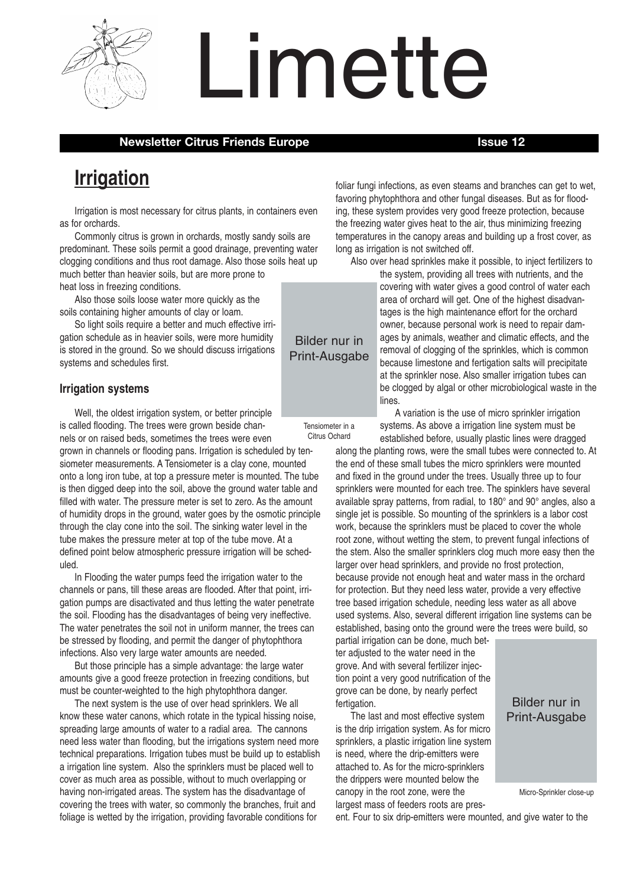

# Limette

#### **Newsletter Citrus Friends Europe Intervalse Intervalse Intervalse Intervalse Intervalse Intervalse Intervalse Intervalse Intervalse Intervalse Intervalse Intervalse Intervalse Intervalse Intervalse Intervalse Intervalse I**

# **Irrigation**

Irrigation is most necessary for citrus plants, in containers even as for orchards.

Commonly citrus is grown in orchards, mostly sandy soils are predominant. These soils permit a good drainage, preventing water clogging conditions and thus root damage. Also those soils heat up much better than heavier soils, but are more prone to heat loss in freezing conditions.

Also those soils loose water more quickly as the soils containing higher amounts of clay or loam.

So light soils require a better and much effective irrigation schedule as in heavier soils, were more humidity is stored in the ground. So we should discuss irrigations systems and schedules first.

#### **Irrigation systems**

Well, the oldest irrigation system, or better principle is called flooding. The trees were grown beside channels or on raised beds, sometimes the trees were even grown in channels or flooding pans. Irrigation is scheduled by tensiometer measurements. A Tensiometer is a clay cone, mounted onto a long iron tube, at top a pressure meter is mounted. The tube is then digged deep into the soil, above the ground water table and filled with water. The pressure meter is set to zero. As the amount of humidity drops in the ground, water goes by the osmotic principle through the clay cone into the soil. The sinking water level in the tube makes the pressure meter at top of the tube move. At a defined point below atmospheric pressure irrigation will be scheduled.

In Flooding the water pumps feed the irrigation water to the channels or pans, till these areas are flooded. After that point, irrigation pumps are disactivated and thus letting the water penetrate the soil. Flooding has the disadvantages of being very ineffective. The water penetrates the soil not in uniform manner, the trees can be stressed by flooding, and permit the danger of phytophthora infections. Also very large water amounts are needed.

But those principle has a simple advantage: the large water amounts give a good freeze protection in freezing conditions, but must be counter-weighted to the high phytophthora danger.

The next system is the use of over head sprinklers. We all know these water canons, which rotate in the typical hissing noise, spreading large amounts of water to a radial area. The cannons need less water than flooding, but the irrigations system need more technical preparations. Irrigation tubes must be build up to establish a irrigation line system. Also the sprinklers must be placed well to cover as much area as possible, without to much overlapping or having non-irrigated areas. The system has the disadvantage of covering the trees with water, so commonly the branches, fruit and foliage is wetted by the irrigation, providing favorable conditions for

foliar fungi infections, as even steams and branches can get to wet, favoring phytophthora and other fungal diseases. But as for flooding, these system provides very good freeze protection, because the freezing water gives heat to the air, thus minimizing freezing temperatures in the canopy areas and building up a frost cover, as long as irrigation is not switched off.

Also over head sprinkles make it possible, to inject fertilizers to

the system, providing all trees with nutrients, and the covering with water gives a good control of water each area of orchard will get. One of the highest disadvantages is the high maintenance effort for the orchard owner, because personal work is need to repair damages by animals, weather and climatic effects, and the removal of clogging of the sprinkles, which is common because limestone and fertigation salts will precipitate at the sprinkler nose. Also smaller irrigation tubes can be clogged by algal or other microbiological waste in the lines.

A variation is the use of micro sprinkler irrigation systems. As above a irrigation line system must be established before, usually plastic lines were dragged

along the planting rows, were the small tubes were connected to. At the end of these small tubes the micro sprinklers were mounted and fixed in the ground under the trees. Usually three up to four sprinklers were mounted for each tree. The spinklers have several available spray patterns, from radial, to 180° and 90° angles, also a single jet is possible. So mounting of the sprinklers is a labor cost work, because the sprinklers must be placed to cover the whole root zone, without wetting the stem, to prevent fungal infections of the stem. Also the smaller sprinklers clog much more easy then the larger over head sprinklers, and provide no frost protection, because provide not enough heat and water mass in the orchard for protection. But they need less water, provide a very effective tree based irrigation schedule, needing less water as all above used systems. Also, several different irrigation line systems can be established, basing onto the ground were the trees were build, so

partial irrigation can be done, much better adjusted to the water need in the grove. And with several fertilizer injection point a very good nutrification of the grove can be done, by nearly perfect fertigation.

The last and most effective system is the drip irrigation system. As for micro sprinklers, a plastic irrigation line system is need, where the drip-emitters were attached to. As for the micro-sprinklers the drippers were mounted below the canopy in the root zone, were the largest mass of feeders roots are pres-

# Bilder nur in Print-Ausgabe

Micro-Sprinkler close-up

ent. Four to six drip-emitters were mounted, and give water to the



Tensiometer in a Citrus Ochard